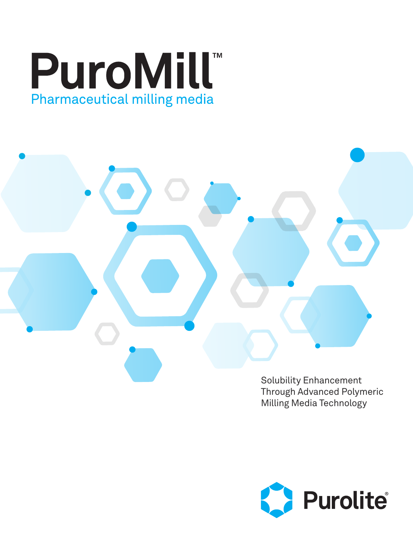



Through Advanced Polymeric Milling Media Technology

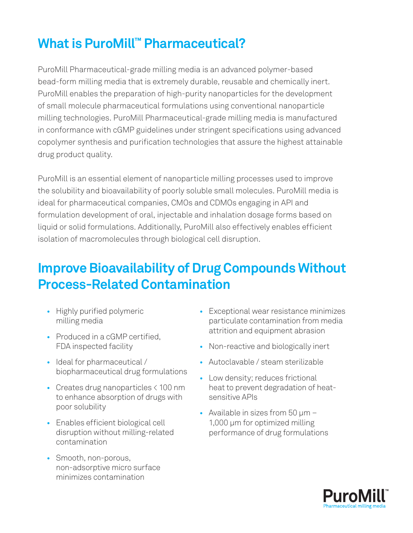# **What is PuroMill™ Pharmaceutical?**

PuroMill Pharmaceutical-grade milling media is an advanced polymer-based bead-form milling media that is extremely durable, reusable and chemically inert. PuroMill enables the preparation of high-purity nanoparticles for the development of small molecule pharmaceutical formulations using conventional nanoparticle milling technologies. PuroMill Pharmaceutical-grade milling media is manufactured in conformance with cGMP guidelines under stringent specifications using advanced copolymer synthesis and purification technologies that assure the highest attainable drug product quality.

PuroMill is an essential element of nanoparticle milling processes used to improve the solubility and bioavailability of poorly soluble small molecules. PuroMill media is ideal for pharmaceutical companies, CMOs and CDMOs engaging in API and formulation development of oral, injectable and inhalation dosage forms based on liquid or solid formulations. Additionally, PuroMill also effectively enables efficient isolation of macromolecules through biological cell disruption.

## **Improve Bioavailability of Drug Compounds Without Process-Related Contamination**

- **•** Highly purified polymeric milling media
- **•** Produced in a cGMP certified, FDA inspected facility
- **•** Ideal for pharmaceutical / biopharmaceutical drug formulations
- **•** Creates drug nanoparticles < 100 nm to enhance absorption of drugs with poor solubility
- **•** Enables efficient biological cell disruption without milling-related contamination
- **•** Smooth, non-porous, non-adsorptive micro surface minimizes contamination
- **•** Exceptional wear resistance minimizes particulate contamination from media attrition and equipment abrasion
- **•** Non-reactive and biologically inert
- **•** Autoclavable / steam sterilizable
- **•** Low density; reduces frictional heat to prevent degradation of heatsensitive APIs
- **•** Available in sizes from 50 µm 1,000 µm for optimized milling performance of drug formulations

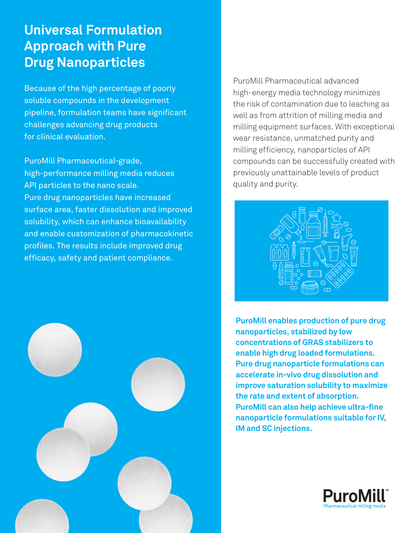## **Universal Formulation Approach with Pure Drug Nanoparticles**

Because of the high percentage of poorly soluble compounds in the development pipeline, formulation teams have significant challenges advancing drug products for clinical evaluation.

PuroMill Pharmaceutical-grade, high-performance milling media reduces API particles to the nano scale. Pure drug nanoparticles have increased surface area, faster dissolution and improved solubility, which can enhance bioavailability and enable customization of pharmacokinetic profiles. The results include improved drug efficacy, safety and patient compliance.



PuroMill Pharmaceutical advanced high-energy media technology minimizes the risk of contamination due to leaching as well as from attrition of milling media and milling equipment surfaces. With exceptional wear resistance, unmatched purity and milling efficiency, nanoparticles of API compounds can be successfully created with previously unattainable levels of product quality and purity.



**PuroMill enables production of pure drug nanoparticles, stabilized by low**  concentrations of GRAS stabilizers to enable high drug loaded formulations. **Pure drug nanoparticle formulations can** accelerate in-vivo drug dissolution and **improve saturation solubility to maximize** the rate and extent of absorption. PuroMill can also help achieve ultra-fine **nanoparticle formulations suitable for IV, IM and SC injections.** for the development of oral, **• Monodisperse size improves flow properties • Non-reactive and biologically**   $\mathbf{a}$  ion and **• Enables high milling efficiency • Conforms to USP specifications**  ug loaded fo paarticle for patient health. rivo uiug uiuu ation solubility **with advanced polymeric milling media.**

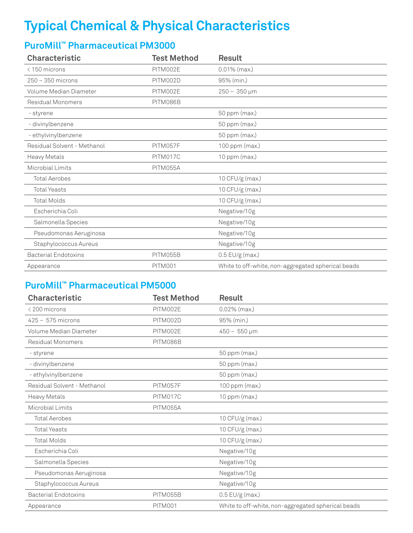# **Typical Chemical & Physical Characteristics**

## **PuroMill™ Pharmaceutical PM3000**

| <b>Characteristic</b>       | <b>Test Method</b> | <b>Result</b>                                      |
|-----------------------------|--------------------|----------------------------------------------------|
| < 150 microns               | PITM002E           | $0.01\%$ (max.)                                    |
| $250 - 350$ microns         | PITM002D           | 95% (min.)                                         |
| Volume Median Diameter      | PITM002E           | $250 - 350 \,\mu m$                                |
| Residual Monomers           | PITM086B           |                                                    |
| - styrene                   |                    | 50 ppm (max.)                                      |
| - divinylbenzene            |                    | 50 ppm (max.)                                      |
| - ethylvinylbenzene         |                    | 50 ppm (max.)                                      |
| Residual Solvent - Methanol | PITM057F           | 100 ppm (max.)                                     |
| Heavy Metals                | PITM017C           | 10 ppm (max.)                                      |
| Microbial Limits            | PITM055A           |                                                    |
| <b>Total Aerobes</b>        |                    | 10 CFU/g (max.)                                    |
| <b>Total Yeasts</b>         |                    | 10 CFU/g (max.)                                    |
| <b>Total Molds</b>          |                    | 10 CFU/g (max.)                                    |
| Escherichia Coli            |                    | Negative/10g                                       |
| Salmonella Species          |                    | Negative/10g                                       |
| Pseudomonas Aeruginosa      |                    | Negative/10g                                       |
| Staphylococcus Aureus       |                    | Negative/10g                                       |
| <b>Bacterial Endotoxins</b> | PITM055B           | $0.5$ EU/g (max.)                                  |
| Appearance                  | <b>PITM001</b>     | White to off-white, non-aggregated spherical beads |

## **PuroMill™ Pharmaceutical PM5000**

| <b>Characteristic</b>       | <b>Test Method</b> | <b>Result</b>                                      |
|-----------------------------|--------------------|----------------------------------------------------|
| $<$ 200 microns             | PITM002E           | $0.02\%$ (max.)                                    |
| $425 - 575$ microns         | PITM002D           | 95% (min.)                                         |
| Volume Median Diameter      | PITM002E           | $450 - 550 \,\mathrm{\upmu m}$                     |
| Residual Monomers           | PITM086B           |                                                    |
| - styrene                   |                    | 50 ppm (max.)                                      |
| - divinylbenzene            |                    | 50 ppm (max.)                                      |
| - ethylvinylbenzene         |                    | 50 ppm (max.)                                      |
| Residual Solvent - Methanol | PITM057F           | 100 ppm (max.)                                     |
| Heavy Metals                | PITM017C           | 10 ppm (max.)                                      |
| Microbial Limits            | PITM055A           |                                                    |
| <b>Total Aerobes</b>        |                    | 10 CFU/g (max.)                                    |
| <b>Total Yeasts</b>         |                    | 10 CFU/g (max.)                                    |
| <b>Total Molds</b>          |                    | 10 CFU/g (max.)                                    |
| Escherichia Coli            |                    | Negative/10g                                       |
| Salmonella Species          |                    | Negative/10g                                       |
| Pseudomonas Aeruginosa      |                    | Negative/10g                                       |
| Staphylococcus Aureus       |                    | Negative/10g                                       |
| <b>Bacterial Endotoxins</b> | PITM055B           | $0.5$ EU/g (max.)                                  |
| Appearance                  | <b>PITM001</b>     | White to off-white, non-aggregated spherical beads |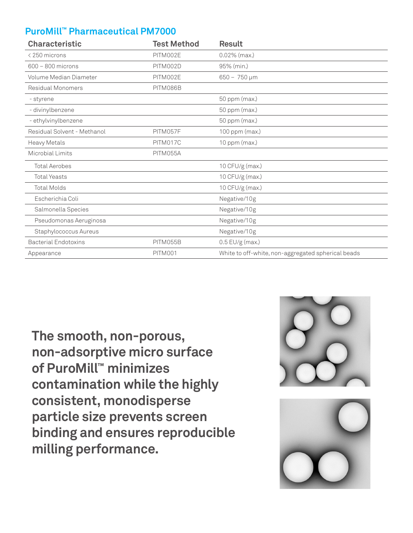### **PuroMill™ Pharmaceutical PM7000**

| <b>Characteristic</b>       | <b>Test Method</b> | <b>Result</b>                                      |
|-----------------------------|--------------------|----------------------------------------------------|
| < 250 microns               | PITM002E           | $0.02\%$ (max.)                                    |
| $600 - 800$ microns         | PITM002D           | 95% (min.)                                         |
| Volume Median Diameter      | PITM002E           | $650 - 750 \,\mu m$                                |
| Residual Monomers           | PITM086B           |                                                    |
| - styrene                   |                    | 50 ppm (max.)                                      |
| - divinylbenzene            |                    | 50 ppm (max.)                                      |
| - ethylvinylbenzene         |                    | 50 ppm (max.)                                      |
| Residual Solvent - Methanol | PITM057F           | 100 ppm (max.)                                     |
| Heavy Metals                | PITM017C           | 10 ppm (max.)                                      |
| Microbial Limits            | PITM055A           |                                                    |
| <b>Total Aerobes</b>        |                    | 10 CFU/g (max.)                                    |
| <b>Total Yeasts</b>         |                    | 10 CFU/g (max.)                                    |
| <b>Total Molds</b>          |                    | 10 CFU/g (max.)                                    |
| Escherichia Coli            |                    | Negative/10g                                       |
| Salmonella Species          |                    | Negative/10g                                       |
| Pseudomonas Aeruginosa      |                    | Negative/10g                                       |
| Staphylococcus Aureus       |                    | Negative/10g                                       |
| <b>Bacterial Endotoxins</b> | PITM055B           | $0.5$ EU/g (max.)                                  |
| Appearance                  | <b>PITM001</b>     | White to off-white, non-aggregated spherical beads |

**The smooth, non-porous, non-adsorptive micro surface of PuroMill™ minimizes contamination while the highly consistent, monodisperse particle size prevents screen binding and ensures reproducible milling performance.**



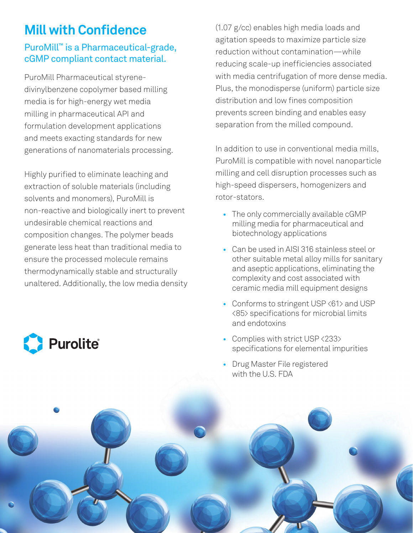# **Mill with Confidence**

### PuroMill<sup>™</sup> is a Pharmaceutical-grade, cGMP compliant contact material.

PuroMill Pharmaceutical styrenedivinylbenzene copolymer based milling media is for high-energy wet media milling in pharmaceutical API and formulation development applications and meets exacting standards for new generations of nanomaterials processing.

Highly purified to eliminate leaching and extraction of soluble materials (including solvents and monomers), PuroMill is non-reactive and biologically inert to prevent undesirable chemical reactions and composition changes. The polymer beads generate less heat than traditional media to ensure the processed molecule remains thermodynamically stable and structurally unaltered. Additionally, the low media density

Purolite®

(1.07 g/cc) enables high media loads and agitation speeds to maximize particle size reduction without contamination—while reducing scale-up inefficiencies associated with media centrifugation of more dense media. Plus, the monodisperse (uniform) particle size distribution and low fines composition prevents screen binding and enables easy separation from the milled compound.

In addition to use in conventional media mills, PuroMill is compatible with novel nanoparticle milling and cell disruption processes such as high-speed dispersers, homogenizers and rotor-stators.

- **•** The only commercially available cGMP milling media for pharmaceutical and biotechnology applications
- **•** Can be used in AISI 316 stainless steel or other suitable metal alloy mills for sanitary and aseptic applications, eliminating the complexity and cost associated with ceramic media mill equipment designs
- **•** Conforms to stringent USP <61> and USP <85> specifications for microbial limits and endotoxins
- **•** Complies with strict USP <233> specifications for elemental impurities
- **•** Drug Master File registered with the U.S. FDA